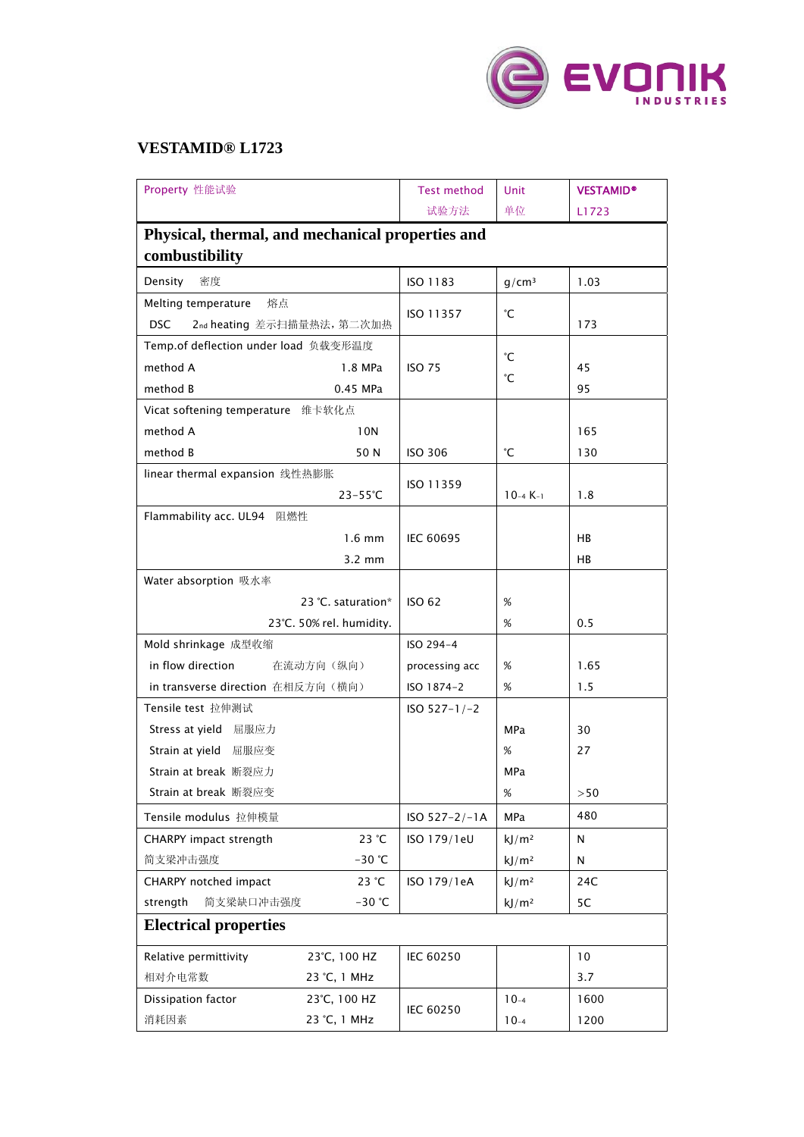

## **VESTAMID® L1723**

| Property 性能试验                                    | <b>Test method</b> | Unit              | <b>VESTAMID®</b> |  |  |  |  |
|--------------------------------------------------|--------------------|-------------------|------------------|--|--|--|--|
|                                                  | 试验方法               | 单位                | L1723            |  |  |  |  |
| Physical, thermal, and mechanical properties and |                    |                   |                  |  |  |  |  |
| combustibility                                   |                    |                   |                  |  |  |  |  |
| 密度<br>Density                                    | ISO 1183           | q/cm <sup>3</sup> | 1.03             |  |  |  |  |
| Melting temperature<br>熔点                        |                    |                   |                  |  |  |  |  |
| <b>DSC</b><br>2nd heating 差示扫描量热法, 第二次加热         | ISO 11357          | °С                | 173              |  |  |  |  |
| Temp.of deflection under load 负载变形温度             |                    | °С                |                  |  |  |  |  |
| method A<br>1.8 MPa                              | <b>ISO 75</b>      |                   | 45               |  |  |  |  |
| method B<br>0.45 MPa                             |                    | °С                | 95               |  |  |  |  |
| Vicat softening temperature 维卡软化点                |                    |                   |                  |  |  |  |  |
| method A<br>10N                                  |                    |                   | 165              |  |  |  |  |
| method B<br>50 N                                 | <b>ISO 306</b>     | °С                | 130              |  |  |  |  |
| linear thermal expansion 线性热膨胀                   |                    |                   |                  |  |  |  |  |
| $23 - 55^{\circ}C$                               | ISO 11359          | $10-4 K-1$        | 1.8              |  |  |  |  |
| Flammability acc. UL94 阻燃性                       |                    |                   |                  |  |  |  |  |
| $1.6 \text{ mm}$                                 | <b>IEC 60695</b>   |                   | HB               |  |  |  |  |
| $3.2 \text{ mm}$                                 |                    |                   | HB               |  |  |  |  |
| Water absorption 吸水率                             |                    |                   |                  |  |  |  |  |
| 23 °C. saturation*                               | <b>ISO 62</b>      | $\%$              |                  |  |  |  |  |
| 23°C. 50% rel. humidity.                         |                    | %                 | 0.5              |  |  |  |  |
| Mold shrinkage 成型收缩                              | ISO 294-4          |                   |                  |  |  |  |  |
| in flow direction<br>在流动方向(纵向)                   | processing acc     | %                 | 1.65             |  |  |  |  |
| in transverse direction 在相反方向(横向)                | ISO 1874-2         | $\%$              | 1.5              |  |  |  |  |
| Tensile test 拉伸测试                                | $ISO 527-1/-2$     |                   |                  |  |  |  |  |
| Stress at yield 屈服应力                             |                    | MPa               | 30               |  |  |  |  |
| Strain at yield 屈服应变                             |                    | %                 | 27               |  |  |  |  |
| Strain at break 断裂应力                             |                    | MPa               |                  |  |  |  |  |
| Strain at break 断裂应变                             |                    | %                 | >50              |  |  |  |  |
| Tensile modulus 拉伸模量                             | $ISO 527 - 2/-1A$  | <b>MPa</b>        | 480              |  |  |  |  |
| CHARPY impact strength<br>23 °C                  | ISO 179/1eU        | kJ/m <sup>2</sup> | N                |  |  |  |  |
| 简支梁冲击强度<br>$-30$ °C                              |                    | kJ/m <sup>2</sup> | N                |  |  |  |  |
| 23 °C<br>CHARPY notched impact                   | ISO 179/1eA        | kJ/m <sup>2</sup> | 24C              |  |  |  |  |
| strength<br>简支梁缺口冲击强度<br>$-30$ °C                |                    | kJ/m <sup>2</sup> | 5C               |  |  |  |  |
| <b>Electrical properties</b>                     |                    |                   |                  |  |  |  |  |
| Relative permittivity<br>23°C, 100 HZ            | IEC 60250          |                   | 10               |  |  |  |  |
| 相对介电常数<br>23 °C, 1 MHz                           |                    |                   | 3.7              |  |  |  |  |
| Dissipation factor<br>23°C, 100 HZ               |                    | $10-4$            | 1600             |  |  |  |  |
| 消耗因素<br>23 °C, 1 MHz                             | IEC 60250          | $10-4$            | 1200             |  |  |  |  |